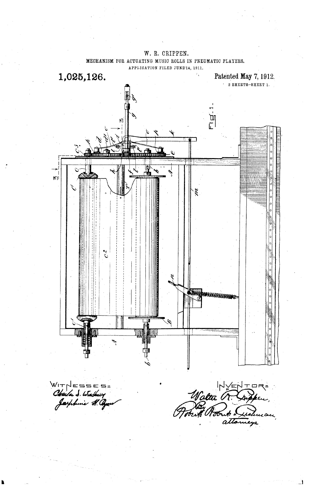

MECHANISM FOR ACTUATING MUSIC ROLLS IN PNEUMATIC PLAYERS.

W. R. CRIPPEN,

WIT ======<br>Chaila S. Wushary<br>Jaephine H. G

Walter G. Cupper وهبير

J.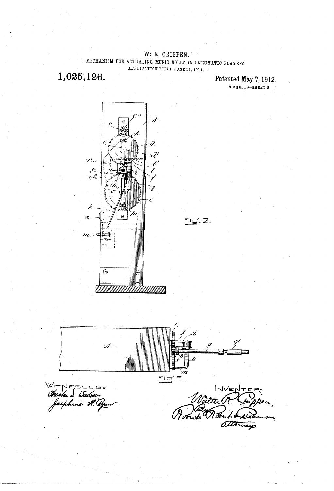W; R. CRIPPEN, MECHANISM FOR ACTUATING MUSIC ROLLS IN PNEUMATIC PLAYERS, APPLICATION FILED JUNE 14, 1911.

1,025,126.

Patented May 7, 1912. 2 SHEETS-SHEET 2. '



 $\mathscr{A}$ m Fig-3- $W_1\tau\wedge\epsilon=$ s  $\epsilon$ .

 $2^{\mu\nu}$ ?? ?? ???? ?? ???? ?????

 $Fig. 2.$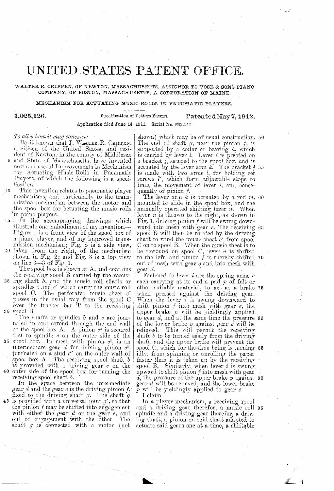## UNITED STATES PATENT OFFICE.

WALTER R. CRIPPEN, OF NEWTON, MASSACHUSETTS, ASSIGNOR TO VOSE & SONS PIANO COMPANY, OF BOSTON, MASSACHUSETTS, A CORPORATION OF MAINE.

MECHANISM FOR ACTUATING MUSIC-ROLLS IN PNEUMATIC PLAYERS.

1,025,126.

Specification of Letters Patent. Patented May 7, 1912. Application filed June 14, 1911. Serial No. 623.143.

To all whom it may concern:

Be it known that I, WALTER R. CRIPPEN, a citizen of the United States, and resident of Newton, in the county of Middlesex

- 5 and State of Massachusetts, have invented new and useful Improvements in Mechanism for Actuating Music-Rolls in Pneumatic Players, of which the following is a specification.
- $10$ This invention relates to pneumatic player mechanisms, and particularly to the transmission mechanism between the motor and the spool box for actuating the music rolls in piano players.
- 15 In the accompanying drawings which illustrate one embodiment of my invention,-Figure 1 is a front view of the spool box of a piano player, and of my improved transmission mechanism; Fig. 2 is a side view,<br>20 taken from the right, of the mechanism<br>shown in Fig. 2; and Fig. 3 is a top view
- on line  $3-3$  of Fig. 1.

The spool box is shown at A, and contains the receiving spool B carried by the receiv-

 $25$  ing shaft  $b$ , and the music roll shafts or spindles  $c$  and  $c'$  which carry the music roll spool C. The perforated music sheet  $c^2$ passes in the usual way from the spool C over the tracker bar T to the receiving 30 spool B.

The shafts or spindles  $b$  and  $c$  are journaled in and extend through the end wall of the spool box A. A pinion  $c^3$  is secured fast to spindle  $e$  on the outer side of the

35 spool box. In mesh with pinion  $c^3$ , is an intermediate gear  $d$  for driving pinion  $c^3$ , journaled on a stud  $d'$  on the outer wall of spool box A. The receiving spool shaft  $b$ is provided with a driving gear  $e$  on the<br>40 outer side of the spool box for turning the receiving spool shaft b.

In the space between the intermediate<br>gear  $d$  and the gear  $e$  is the driving pinion  $f$ ,<br>fixed to the driving shaft  $g$ . The shaft  $g$  $45$  is provided with a universal joint  $g'$ , so that the pinion  $f$  may be shifted into engagement with either the gear  $d$  or the gear  $e$ , and<br>out of engagement with the other. The shaft  $g$  is connected with a motor (not )

shown) which may be of usual construction. 50 The end of shaft  $g$ , near the pinion  $f$ , is supported by a collar or bearing  $h$ , which<br>is carried by lever  $i$ . Lever  $i$  is pivoted on a bracket *j*, secured to the spool box, and is<br>actuated by the lever arm *k*. The bracket *j* 55<br>is made with two arms *l*, for holding set<br>screws *l*, which form adjustable stops to<br> $\frac{1}{2}$ . limit the movement of lever  $i$ , and consequently of pinion  $f$ .

The lever arm  $k$  is actuated by a rod  $m$ , 60 mounted to slide in the spool box, and the manually operated shifting lever  $n$ . When<br>lever  $n$  is thrown to the right, as shown in Fig. 1, driving pinion  $f$  will be swung down-<br>ward into mesh with gear  $e$ . The receiving 65 spool B will then be rotated by the driving shaft to wind the music sheet  $c^2$  from spool C on to spool B. When the music sheet is to be rewound on spool C, lever  $n$  is shifted<br>to the left, and pinion  $f$  is thereby shifted 70 out of mesh with gear e and into mesh with gear  $d$ .

Fastened to lever  $i$  are the spring arms  $o$ each carrying at its end a pad  $p$  of felt or other suitable material, to act as a brake 75 when pressed against the driving gear. When the lever  $i$  is swung downward to shift pinion  $f$  into mesh with gear  $e$ , the upper brake  $p$  will be yieldingly applied<br>to gear  $d$ , and at the same time the pressure 80<br>of the lower brake  $p$  against gear  $e$  will be<br>relieved. This will permit the receiving shaft  $b$  to be turned easily from the driving shaft, and the upper brake will prevent the spool C, which for the time being is turning 85 idly, from spinning or unrolling the paper<br>faster than it is taken up by the receiving spool B. Similarly, when lever  $i$  is swung upward to shift pinion f into mesh with gear d, the pressure of the upper brake  $p$  against 90 gear  $d$  will be relieved, and the lower brake  $p$  will be yieldingly applied to gear  $e$ .

I claim:

In a player mechanism, a receiving spool and a driving gear therefor, a music roll 95 spindle and a driving gear therefor, a driving shaft, a pinion on said shaft adapted to actuate said gears one at a time, a shiftable